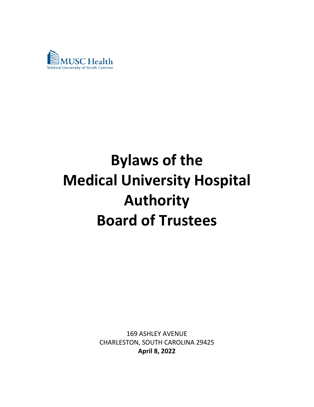

# **Bylaws of the Medical University Hospital Authority Board of Trustees**

169 ASHLEY AVENUE CHARLESTON, SOUTH CAROLINA 29425 **April 8, 2022**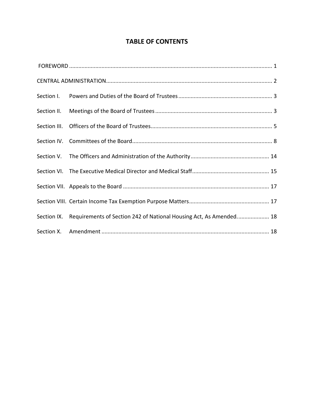## **TABLE OF CONTENTS**

|  | Section IX. Requirements of Section 242 of National Housing Act, As Amended 18 |
|--|--------------------------------------------------------------------------------|
|  |                                                                                |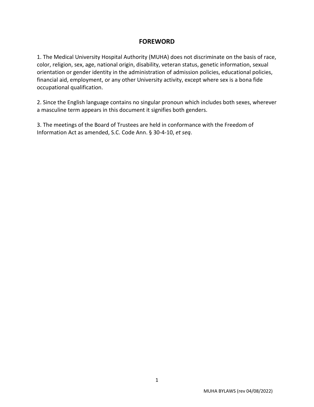## **FOREWORD**

1. The Medical University Hospital Authority (MUHA) does not discriminate on the basis of race, color, religion, sex, age, national origin, disability, veteran status, genetic information, sexual orientation or gender identity in the administration of admission policies, educational policies, financial aid, employment, or any other University activity, except where sex is a bona fide occupational qualification.

2. Since the English language contains no singular pronoun which includes both sexes, wherever a masculine term appears in this document it signifies both genders.

3. The meetings of the Board of Trustees are held in conformance with the Freedom of Information Act as amended, S.C. Code Ann. § 30-4-10, *et seq*.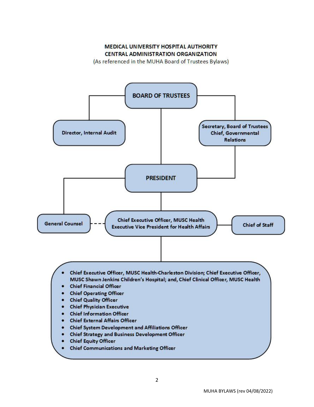### **MEDICAL UNIVERSITY HOSPITAL AUTHORITY CENTRAL ADMINISTRATION ORGANIZATION**

(As referenced in the MUHA Board of Trustees Bylaws)

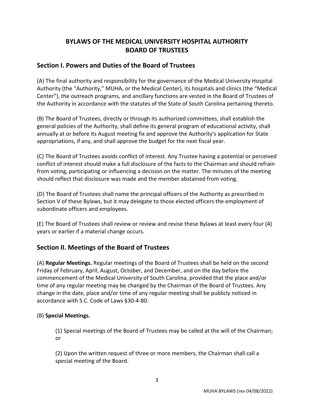# **BYLAWS OF THE MEDICAL UNIVERSITY HOSPITAL AUTHORITY BOARD OF TRUSTEES**

## **Section I. Powers and Duties of the Board of Trustees**

(A) The final authority and responsibility for the governance of the Medical University Hospital Authority (the "Authority," MUHA, or the Medical Center), its hospitals and clinics (the "Medical Center"), the outreach programs, and ancillary functions are vested in the Board of Trustees of the Authority in accordance with the statutes of the State of South Carolina pertaining thereto.

(B) The Board of Trustees, directly or through its authorized committees, shall establish the general policies of the Authority, shall define its general program of educational activity, shall annually at or before its August meeting fix and approve the Authority's application for State appropriations, if any, and shall approve the budget for the next fiscal year.

(C) The Board of Trustees avoids conflict of interest. Any Trustee having a potential or perceived conflict of interest should make a full disclosure of the facts to the Chairman and should refrain from voting, participating or influencing a decision on the matter. The minutes of the meeting should reflect that disclosure was made and the member abstained from voting.

(D) The Board of Trustees shall name the principal officers of the Authority as prescribed in Section V of these Bylaws, but it may delegate to those elected officers the employment of subordinate officers and employees.

(E) The Board of Trustees shall review or review and revise these Bylaws at least every four (4) years or earlier if a material change occurs.

## **Section II. Meetings of the Board of Trustees**

(A) **Regular Meetings.** Regular meetings of the Board of Trustees shall be held on the second Friday of February, April, August, October, and December, and on the day before the commencement of the Medical University of South Carolina, provided that the place and/or time of any regular meeting may be changed by the Chairman of the Board of Trustees. Any change in the date, place and/or time of any regular meeting shall be publicly noticed in accordance with S.C. Code of Laws §30-4-80.

#### (B) **Special Meetings.**

(1) Special meetings of the Board of Trustees may be called at the will of the Chairman; or

(2) Upon the written request of three or more members, the Chairman shall call a special meeting of the Board.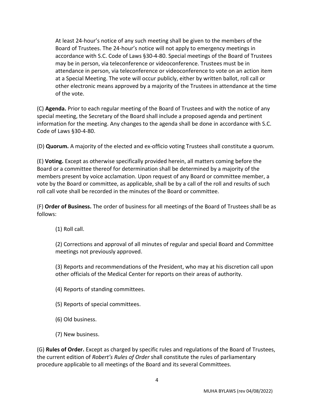At least 24-hour's notice of any such meeting shall be given to the members of the Board of Trustees. The 24-hour's notice will not apply to emergency meetings in accordance with S.C. Code of Laws §30-4-80. Special meetings of the Board of Trustees may be in person, via teleconference or videoconference. Trustees must be in attendance in person, via teleconference or videoconference to vote on an action item at a Special Meeting. The vote will occur publicly, either by written ballot, roll call or other electronic means approved by a majority of the Trustees in attendance at the time of the vote.

(C) **Agenda.** Prior to each regular meeting of the Board of Trustees and with the notice of any special meeting, the Secretary of the Board shall include a proposed agenda and pertinent information for the meeting. Any changes to the agenda shall be done in accordance with S.C. Code of Laws §30-4-80.

(D) **Quorum.** A majority of the elected and ex-officio voting Trustees shall constitute a quorum.

(E) **Voting.** Except as otherwise specifically provided herein, all matters coming before the Board or a committee thereof for determination shall be determined by a majority of the members present by voice acclamation. Upon request of any Board or committee member, a vote by the Board or committee, as applicable, shall be by a call of the roll and results of such roll call vote shall be recorded in the minutes of the Board or committee.

(F) **Order of Business.** The order of business for all meetings of the Board of Trustees shall be as follows:

(1) Roll call.

(2) Corrections and approval of all minutes of regular and special Board and Committee meetings not previously approved.

(3) Reports and recommendations of the President, who may at his discretion call upon other officials of the Medical Center for reports on their areas of authority.

(4) Reports of standing committees.

(5) Reports of special committees.

(6) Old business.

(7) New business.

(G) **Rules of Order.** Except as charged by specific rules and regulations of the Board of Trustees, the current edition of *Robert's Rules of Order* shall constitute the rules of parliamentary procedure applicable to all meetings of the Board and its several Committees.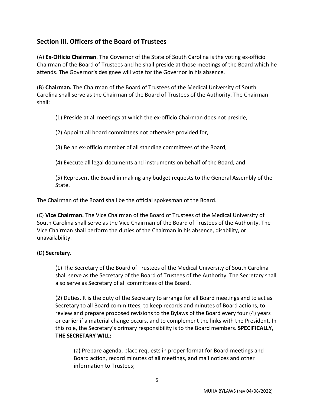## **Section III. Officers of the Board of Trustees**

(A) **Ex-Officio Chairman**. The Governor of the State of South Carolina is the voting ex-officio Chairman of the Board of Trustees and he shall preside at those meetings of the Board which he attends. The Governor's designee will vote for the Governor in his absence.

(B) **Chairman.** The Chairman of the Board of Trustees of the Medical University of South Carolina shall serve as the Chairman of the Board of Trustees of the Authority. The Chairman shall:

(1) Preside at all meetings at which the ex-officio Chairman does not preside,

- (2) Appoint all board committees not otherwise provided for,
- (3) Be an ex-officio member of all standing committees of the Board,
- (4) Execute all legal documents and instruments on behalf of the Board, and

(5) Represent the Board in making any budget requests to the General Assembly of the State.

The Chairman of the Board shall be the official spokesman of the Board.

(C) **Vice Chairman.** The Vice Chairman of the Board of Trustees of the Medical University of South Carolina shall serve as the Vice Chairman of the Board of Trustees of the Authority. The Vice Chairman shall perform the duties of the Chairman in his absence, disability, or unavailability.

#### (D) **Secretary.**

(1) The Secretary of the Board of Trustees of the Medical University of South Carolina shall serve as the Secretary of the Board of Trustees of the Authority. The Secretary shall also serve as Secretary of all committees of the Board.

(2) Duties. It is the duty of the Secretary to arrange for all Board meetings and to act as Secretary to all Board committees, to keep records and minutes of Board actions, to review and prepare proposed revisions to the Bylaws of the Board every four (4) years or earlier if a material change occurs, and to complement the links with the President. In this role, the Secretary's primary responsibility is to the Board members. **SPECIFICALLY, THE SECRETARY WILL:**

(a) Prepare agenda, place requests in proper format for Board meetings and Board action, record minutes of all meetings, and mail notices and other information to Trustees;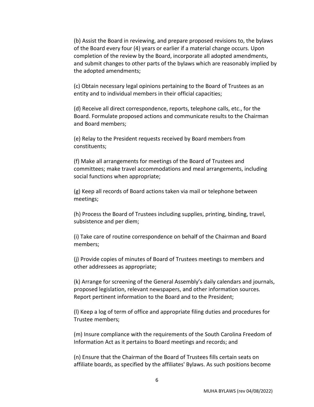(b) Assist the Board in reviewing, and prepare proposed revisions to, the bylaws of the Board every four (4) years or earlier if a material change occurs. Upon completion of the review by the Board, incorporate all adopted amendments, and submit changes to other parts of the bylaws which are reasonably implied by the adopted amendments;

(c) Obtain necessary legal opinions pertaining to the Board of Trustees as an entity and to individual members in their official capacities;

(d) Receive all direct correspondence, reports, telephone calls, etc., for the Board. Formulate proposed actions and communicate results to the Chairman and Board members;

(e) Relay to the President requests received by Board members from constituents;

(f) Make all arrangements for meetings of the Board of Trustees and committees; make travel accommodations and meal arrangements, including social functions when appropriate;

(g) Keep all records of Board actions taken via mail or telephone between meetings;

(h) Process the Board of Trustees including supplies, printing, binding, travel, subsistence and per diem;

(i) Take care of routine correspondence on behalf of the Chairman and Board members;

(j) Provide copies of minutes of Board of Trustees meetings to members and other addressees as appropriate;

(k) Arrange for screening of the General Assembly's daily calendars and journals, proposed legislation, relevant newspapers, and other information sources. Report pertinent information to the Board and to the President;

(l) Keep a log of term of office and appropriate filing duties and procedures for Trustee members;

(m) Insure compliance with the requirements of the South Carolina Freedom of Information Act as it pertains to Board meetings and records; and

(n) Ensure that the Chairman of the Board of Trustees fills certain seats on affiliate boards, as specified by the affiliates' Bylaws. As such positions become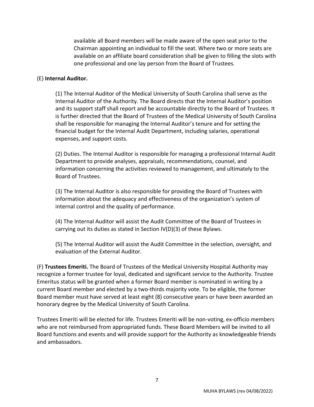available all Board members will be made aware of the open seat prior to the Chairman appointing an individual to fill the seat. Where two or more seats are available on an affiliate board consideration shall be given to filling the slots with one professional and one lay person from the Board of Trustees.

#### (E) **Internal Auditor.**

(1) The Internal Auditor of the Medical University of South Carolina shall serve as the Internal Auditor of the Authority. The Board directs that the Internal Auditor's position and its support staff shall report and be accountable directly to the Board of Trustees. It is further directed that the Board of Trustees of the Medical University of South Carolina shall be responsible for managing the Internal Auditor's tenure and for setting the financial budget for the Internal Audit Department, including salaries, operational expenses, and support costs.

(2) Duties. The Internal Auditor is responsible for managing a professional Internal Audit Department to provide analyses, appraisals, recommendations, counsel, and information concerning the activities reviewed to management, and ultimately to the Board of Trustees.

(3) The Internal Auditor is also responsible for providing the Board of Trustees with information about the adequacy and effectiveness of the organization's system of internal control and the quality of performance.

(4) The Internal Auditor will assist the Audit Committee of the Board of Trustees in carrying out its duties as stated in Section IV(D)(3) of these Bylaws.

(5) The Internal Auditor will assist the Audit Committee in the selection, oversight, and evaluation of the External Auditor.

(F) **Trustees Emeriti.** The Board of Trustees of the Medical University Hospital Authority may recognize a former trustee for loyal, dedicated and significant service to the Authority. Trustee Emeritus status will be granted when a former Board member is nominated in writing by a current Board member and elected by a two-thirds majority vote. To be eligible, the former Board member must have served at least eight (8) consecutive years or have been awarded an honorary degree by the Medical University of South Carolina.

Trustees Emeriti will be elected for life. Trustees Emeriti will be non-voting, ex-officio members who are not reimbursed from appropriated funds. These Board Members will be invited to all Board functions and events and will provide support for the Authority as knowledgeable friends and ambassadors.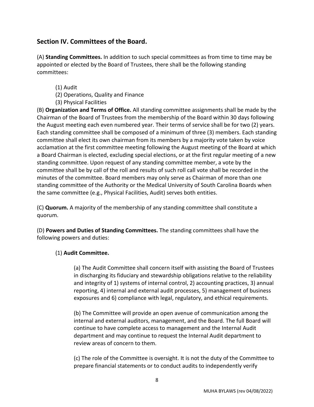## **Section IV. Committees of the Board.**

(A) **Standing Committees.** In addition to such special committees as from time to time may be appointed or elected by the Board of Trustees, there shall be the following standing committees:

- (1) Audit
- (2) Operations, Quality and Finance
- (3) Physical Facilities

(B) **Organization and Terms of Office.** All standing committee assignments shall be made by the Chairman of the Board of Trustees from the membership of the Board within 30 days following the August meeting each even numbered year. Their terms of service shall be for two (2) years. Each standing committee shall be composed of a minimum of three (3) members. Each standing committee shall elect its own chairman from its members by a majority vote taken by voice acclamation at the first committee meeting following the August meeting of the Board at which a Board Chairman is elected, excluding special elections, or at the first regular meeting of a new standing committee. Upon request of any standing committee member, a vote by the committee shall be by call of the roll and results of such roll call vote shall be recorded in the minutes of the committee. Board members may only serve as Chairman of more than one standing committee of the Authority or the Medical University of South Carolina Boards when the same committee (e.g., Physical Facilities, Audit) serves both entities.

(C) **Quorum.** A majority of the membership of any standing committee shall constitute a quorum.

(D) **Powers and Duties of Standing Committees.** The standing committees shall have the following powers and duties:

#### (1) **Audit Committee.**

(a) The Audit Committee shall concern itself with assisting the Board of Trustees in discharging its fiduciary and stewardship obligations relative to the reliability and integrity of 1) systems of internal control, 2) accounting practices, 3) annual reporting, 4) internal and external audit processes, 5) management of business exposures and 6) compliance with legal, regulatory, and ethical requirements.

(b) The Committee will provide an open avenue of communication among the internal and external auditors, management, and the Board. The full Board will continue to have complete access to management and the Internal Audit department and may continue to request the Internal Audit department to review areas of concern to them.

(c) The role of the Committee is oversight. It is not the duty of the Committee to prepare financial statements or to conduct audits to independently verify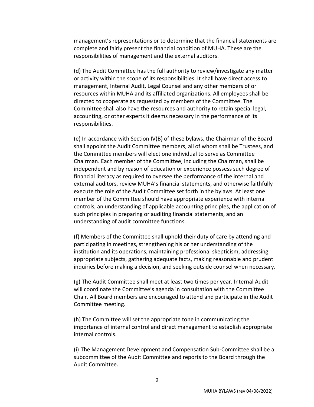management's representations or to determine that the financial statements are complete and fairly present the financial condition of MUHA. These are the responsibilities of management and the external auditors.

(d) The Audit Committee has the full authority to review/investigate any matter or activity within the scope of its responsibilities. It shall have direct access to management, Internal Audit, Legal Counsel and any other members of or resources within MUHA and its affiliated organizations. All employees shall be directed to cooperate as requested by members of the Committee. The Committee shall also have the resources and authority to retain special legal, accounting, or other experts it deems necessary in the performance of its responsibilities.

(e) In accordance with Section IV(B) of these bylaws, the Chairman of the Board shall appoint the Audit Committee members, all of whom shall be Trustees, and the Committee members will elect one individual to serve as Committee Chairman. Each member of the Committee, including the Chairman, shall be independent and by reason of education or experience possess such degree of financial literacy as required to oversee the performance of the internal and external auditors, review MUHA's financial statements, and otherwise faithfully execute the role of the Audit Committee set forth in the bylaws. At least one member of the Committee should have appropriate experience with internal controls, an understanding of applicable accounting principles, the application of such principles in preparing or auditing financial statements, and an understanding of audit committee functions.

(f) Members of the Committee shall uphold their duty of care by attending and participating in meetings, strengthening his or her understanding of the institution and its operations, maintaining professional skepticism, addressing appropriate subjects, gathering adequate facts, making reasonable and prudent inquiries before making a decision, and seeking outside counsel when necessary.

(g) The Audit Committee shall meet at least two times per year. Internal Audit will coordinate the Committee's agenda in consultation with the Committee Chair. All Board members are encouraged to attend and participate in the Audit Committee meeting.

(h) The Committee will set the appropriate tone in communicating the importance of internal control and direct management to establish appropriate internal controls.

(i) The Management Development and Compensation Sub-Committee shall be a subcommittee of the Audit Committee and reports to the Board through the Audit Committee.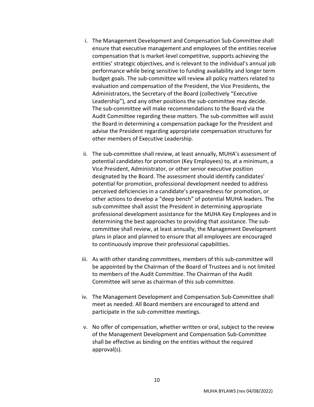- i. The Management Development and Compensation Sub-Committee shall ensure that executive management and employees of the entities receive compensation that is market-level competitive, supports achieving the entities' strategic objectives, and is relevant to the individual's annual job performance while being sensitive to funding availability and longer term budget goals. The sub-committee will review all policy matters related to evaluation and compensation of the President, the Vice Presidents, the Administrators, the Secretary of the Board (collectively "Executive Leadership"), and any other positions the sub-committee may decide. The sub-committee will make recommendations to the Board via the Audit Committee regarding these matters. The sub-committee will assist the Board in determining a compensation package for the President and advise the President regarding appropriate compensation structures for other members of Executive Leadership.
- ii. The sub-committee shall review, at least annually, MUHA's assessment of potential candidates for promotion (Key Employees) to, at a minimum, a Vice President, Administrator, or other senior executive position designated by the Board. The assessment should identify candidates' potential for promotion, professional development needed to address perceived deficiencies in a candidate's preparedness for promotion, or other actions to develop a "deep bench" of potential MUHA leaders. The sub-committee shall assist the President in determining appropriate professional development assistance for the MUHA Key Employees and in determining the best approaches to providing that assistance. The subcommittee shall review, at least annually, the Management Development plans in place and planned to ensure that all employees are encouraged to continuously improve their professional capabilities.
- iii. As with other standing committees, members of this sub-committee will be appointed by the Chairman of the Board of Trustees and is not limited to members of the Audit Committee. The Chairman of the Audit Committee will serve as chairman of this sub-committee.
- iv. The Management Development and Compensation Sub-Committee shall meet as needed. All Board members are encouraged to attend and participate in the sub-committee meetings.
- v. No offer of compensation, whether written or oral, subject to the review of the Management Development and Compensation Sub-Committee shall be effective as binding on the entities without the required approval(s).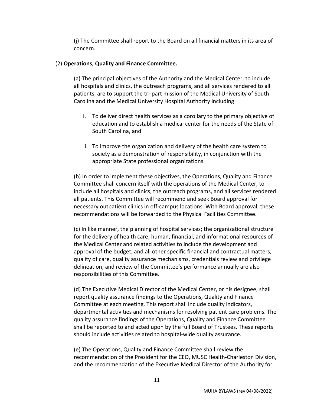(j) The Committee shall report to the Board on all financial matters in its area of concern.

#### (2) **Operations, Quality and Finance Committee.**

(a) The principal objectives of the Authority and the Medical Center, to include all hospitals and clinics, the outreach programs, and all services rendered to all patients, are to support the tri-part mission of the Medical University of South Carolina and the Medical University Hospital Authority including:

- i. To deliver direct health services as a corollary to the primary objective of education and to establish a medical center for the needs of the State of South Carolina, and
- ii. To improve the organization and delivery of the health care system to society as a demonstration of responsibility, in conjunction with the appropriate State professional organizations.

(b) In order to implement these objectives, the Operations, Quality and Finance Committee shall concern itself with the operations of the Medical Center, to include all hospitals and clinics, the outreach programs, and all services rendered all patients. This Committee will recommend and seek Board approval for necessary outpatient clinics in off-campus locations. With Board approval, these recommendations will be forwarded to the Physical Facilities Committee.

(c) In like manner, the planning of hospital services; the organizational structure for the delivery of health care; human, financial, and informational resources of the Medical Center and related activities to include the development and approval of the budget, and all other specific financial and contractual matters, quality of care, quality assurance mechanisms, credentials review and privilege delineation, and review of the Committee's performance annually are also responsibilities of this Committee.

(d) The Executive Medical Director of the Medical Center, or his designee, shall report quality assurance findings to the Operations, Quality and Finance Committee at each meeting. This report shall include quality indicators, departmental activities and mechanisms for resolving patient care problems. The quality assurance findings of the Operations, Quality and Finance Committee shall be reported to and acted upon by the full Board of Trustees. These reports should include activities related to hospital-wide quality assurance.

(e) The Operations, Quality and Finance Committee shall review the recommendation of the President for the CEO, MUSC Health-Charleston Division, and the recommendation of the Executive Medical Director of the Authority for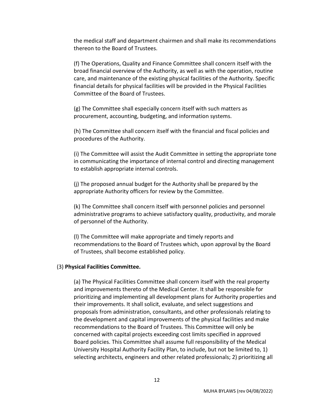the medical staff and department chairmen and shall make its recommendations thereon to the Board of Trustees.

(f) The Operations, Quality and Finance Committee shall concern itself with the broad financial overview of the Authority, as well as with the operation, routine care, and maintenance of the existing physical facilities of the Authority. Specific financial details for physical facilities will be provided in the Physical Facilities Committee of the Board of Trustees.

(g) The Committee shall especially concern itself with such matters as procurement, accounting, budgeting, and information systems.

(h) The Committee shall concern itself with the financial and fiscal policies and procedures of the Authority.

(i) The Committee will assist the Audit Committee in setting the appropriate tone in communicating the importance of internal control and directing management to establish appropriate internal controls.

(j) The proposed annual budget for the Authority shall be prepared by the appropriate Authority officers for review by the Committee.

(k) The Committee shall concern itself with personnel policies and personnel administrative programs to achieve satisfactory quality, productivity, and morale of personnel of the Authority.

(l) The Committee will make appropriate and timely reports and recommendations to the Board of Trustees which, upon approval by the Board of Trustees, shall become established policy.

#### (3) **Physical Facilities Committee.**

(a) The Physical Facilities Committee shall concern itself with the real property and improvements thereto of the Medical Center. It shall be responsible for prioritizing and implementing all development plans for Authority properties and their improvements. It shall solicit, evaluate, and select suggestions and proposals from administration, consultants, and other professionals relating to the development and capital improvements of the physical facilities and make recommendations to the Board of Trustees. This Committee will only be concerned with capital projects exceeding cost limits specified in approved Board policies. This Committee shall assume full responsibility of the Medical University Hospital Authority Facility Plan, to include, but not be limited to, 1) selecting architects, engineers and other related professionals; 2) prioritizing all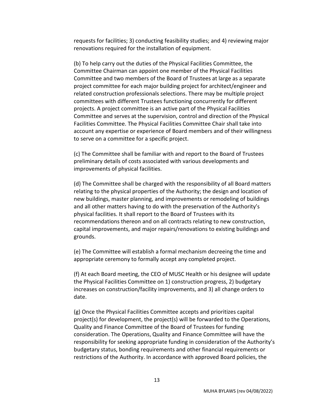requests for facilities; 3) conducting feasibility studies; and 4) reviewing major renovations required for the installation of equipment.

(b) To help carry out the duties of the Physical Facilities Committee, the Committee Chairman can appoint one member of the Physical Facilities Committee and two members of the Board of Trustees at large as a separate project committee for each major building project for architect/engineer and related construction professionals selections. There may be multiple project committees with different Trustees functioning concurrently for different projects. A project committee is an active part of the Physical Facilities Committee and serves at the supervision, control and direction of the Physical Facilities Committee. The Physical Facilities Committee Chair shall take into account any expertise or experience of Board members and of their willingness to serve on a committee for a specific project.

(c) The Committee shall be familiar with and report to the Board of Trustees preliminary details of costs associated with various developments and improvements of physical facilities.

(d) The Committee shall be charged with the responsibility of all Board matters relating to the physical properties of the Authority; the design and location of new buildings, master planning, and improvements or remodeling of buildings and all other matters having to do with the preservation of the Authority's physical facilities. It shall report to the Board of Trustees with its recommendations thereon and on all contracts relating to new construction, capital improvements, and major repairs/renovations to existing buildings and grounds.

(e) The Committee will establish a formal mechanism decreeing the time and appropriate ceremony to formally accept any completed project.

(f) At each Board meeting, the CEO of MUSC Health or his designee will update the Physical Facilities Committee on 1) construction progress, 2) budgetary increases on construction/facility improvements, and 3) all change orders to date.

(g) Once the Physical Facilities Committee accepts and prioritizes capital project(s) for development, the project(s) will be forwarded to the Operations, Quality and Finance Committee of the Board of Trustees for funding consideration. The Operations, Quality and Finance Committee will have the responsibility for seeking appropriate funding in consideration of the Authority's budgetary status, bonding requirements and other financial requirements or restrictions of the Authority. In accordance with approved Board policies, the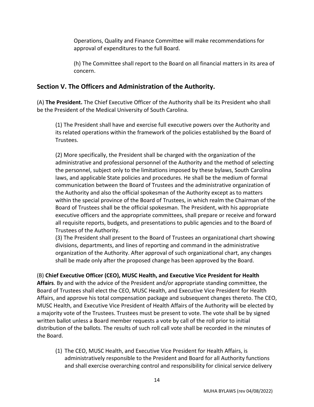Operations, Quality and Finance Committee will make recommendations for approval of expenditures to the full Board.

(h) The Committee shall report to the Board on all financial matters in its area of concern.

## **Section V. The Officers and Administration of the Authority.**

(A) **The President.** The Chief Executive Officer of the Authority shall be its President who shall be the President of the Medical University of South Carolina.

(1) The President shall have and exercise full executive powers over the Authority and its related operations within the framework of the policies established by the Board of Trustees.

(2) More specifically, the President shall be charged with the organization of the administrative and professional personnel of the Authority and the method of selecting the personnel, subject only to the limitations imposed by these bylaws, South Carolina laws, and applicable State policies and procedures. He shall be the medium of formal communication between the Board of Trustees and the administrative organization of the Authority and also the official spokesman of the Authority except as to matters within the special province of the Board of Trustees, in which realm the Chairman of the Board of Trustees shall be the official spokesman. The President, with his appropriate executive officers and the appropriate committees, shall prepare or receive and forward all requisite reports, budgets, and presentations to public agencies and to the Board of Trustees of the Authority.

(3) The President shall present to the Board of Trustees an organizational chart showing divisions, departments, and lines of reporting and command in the administrative organization of the Authority. After approval of such organizational chart, any changes shall be made only after the proposed change has been approved by the Board.

## (B) **Chief Executive Officer (CEO), MUSC Health, and Executive Vice President for Health**

**Affairs**. By and with the advice of the President and/or appropriate standing committee, the Board of Trustees shall elect the CEO, MUSC Health, and Executive Vice President for Health Affairs, and approve his total compensation package and subsequent changes thereto. The CEO, MUSC Health, and Executive Vice President of Health Affairs of the Authority will be elected by a majority vote of the Trustees. Trustees must be present to vote. The vote shall be by signed written ballot unless a Board member requests a vote by call of the roll prior to initial distribution of the ballots. The results of such roll call vote shall be recorded in the minutes of the Board.

(1) The CEO, MUSC Health, and Executive Vice President for Health Affairs, is administratively responsible to the President and Board for all Authority functions and shall exercise overarching control and responsibility for clinical service delivery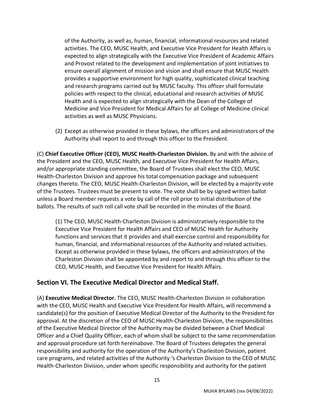of the Authority, as well as, human, financial, informational resources and related activities. The CEO, MUSC Health, and Executive Vice President for Health Affairs is expected to align strategically with the Executive Vice President of Academic Affairs and Provost related to the development and implementation of joint initiatives to ensure overall alignment of mission and vision and shall ensure that MUSC Health provides a supportive environment for high quality, sophisticated clinical teaching and research programs carried out by MUSC faculty. This officer shall formulate policies with respect to the clinical, educational and research activities of MUSC Health and is expected to align strategically with the Dean of the College of Medicine and Vice President for Medical Affairs for all College of Medicine clinical activities as well as MUSC Physicians.

(2) Except as otherwise provided in these bylaws, the officers and administrators of the Authority shall report to and through this officer to the President.

(C) **Chief Executive Officer (CEO), MUSC Health-Charleston Division.** By and with the advice of the President and the CEO, MUSC Health, and Executive Vice President for Health Affairs, and/or appropriate standing committee, the Board of Trustees shall elect the CEO, MUSC Health-Charleston Division and approve his total compensation package and subsequent changes thereto. The CEO, MUSC Health-Charleston Division, will be elected by a majority vote of the Trustees. Trustees must be present to vote. The vote shall be by signed written ballot unless a Board member requests a vote by call of the roll prior to initial distribution of the ballots. The results of such roll call vote shall be recorded in the minutes of the Board.

(1) The CEO, MUSC Health-Charleston Division is administratively responsible to the Executive Vice President for Health Affairs and CEO of MUSC Health for Authority functions and services that it provides and shall exercise control and responsibility for human, financial, and informational resources of the Authority and related activities. Except as otherwise provided in these bylaws, the officers and administrators of the Charleston Division shall be appointed by and report to and through this officer to the CEO, MUSC Health, and Executive Vice President for Health Affairs.

## **Section VI. The Executive Medical Director and Medical Staff.**

(A) **Executive Medical Director.** The CEO, MUSC Health-Charleston Division in collaboration with the CEO, MUSC Health and Executive Vice President for Health Affairs, will recommend a candidate(s) for the position of Executive Medical Director of the Authority to the President for approval. At the discretion of the CEO of MUSC Health-Charleston Division, the responsibilities of the Executive Medical Director of the Authority may be divided between a Chief Medical Officer and a Chief Quality Officer, each of whom shall be subject to the same recommendation and approval procedure set forth hereinabove. The Board of Trustees delegates the general responsibility and authority for the operation of the Authority's Charleston Division, patient care programs, and related activities of the Authority 's Charleston Division to the CEO of MUSC Health-Charleston Division, under whom specific responsibility and authority for the patient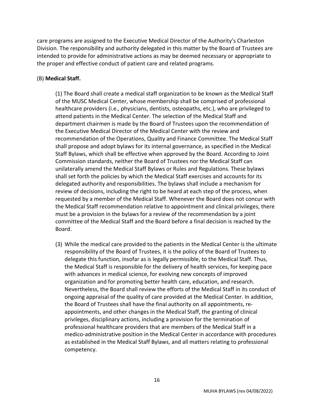care programs are assigned to the Executive Medical Director of the Authority's Charleston Division. The responsibility and authority delegated in this matter by the Board of Trustees are intended to provide for administrative actions as may be deemed necessary or appropriate to the proper and effective conduct of patient care and related programs.

#### (B) **Medical Staff.**

(1) The Board shall create a medical staff organization to be known as the Medical Staff of the MUSC Medical Center, whose membership shall be comprised of professional healthcare providers (i.e., physicians, dentists, osteopaths, etc.), who are privileged to attend patients in the Medical Center. The selection of the Medical Staff and department chairmen is made by the Board of Trustees upon the recommendation of the Executive Medical Director of the Medical Center with the review and recommendation of the Operations, Quality and Finance Committee. The Medical Staff shall propose and adopt bylaws for its internal governance, as specified in the Medical Staff Bylaws, which shall be effective when approved by the Board. According to Joint Commission standards, neither the Board of Trustees nor the Medical Staff can unilaterally amend the Medical Staff Bylaws or Rules and Regulations. These bylaws shall set forth the policies by which the Medical Staff exercises and accounts for its delegated authority and responsibilities. The bylaws shall include a mechanism for review of decisions, including the right to be heard at each step of the process, when requested by a member of the Medical Staff. Whenever the Board does not concur with the Medical Staff recommendation relative to appointment and clinical privileges, there must be a provision in the bylaws for a review of the recommendation by a joint committee of the Medical Staff and the Board before a final decision is reached by the Board.

(3) While the medical care provided to the patients in the Medical Center is the ultimate responsibility of the Board of Trustees, it is the policy of the Board of Trustees to delegate this function, insofar as is legally permissible, to the Medical Staff. Thus, the Medical Staff is responsible for the delivery of health services, for keeping pace with advances in medical science, for evolving new concepts of improved organization and for promoting better health care, education, and research. Nevertheless, the Board shall review the efforts of the Medical Staff in its conduct of ongoing appraisal of the quality of care provided at the Medical Center. In addition, the Board of Trustees shall have the final authority on all appointments, reappointments, and other changes in the Medical Staff, the granting of clinical privileges, disciplinary actions, including a provision for the termination of professional healthcare providers that are members of the Medical Staff in a medico-administrative position in the Medical Center in accordance with procedures as established in the Medical Staff Bylaws, and all matters relating to professional competency.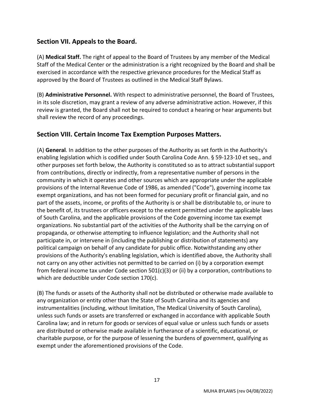## **Section VII. Appeals to the Board.**

(A) **Medical Staff.** The right of appeal to the Board of Trustees by any member of the Medical Staff of the Medical Center or the administration is a right recognized by the Board and shall be exercised in accordance with the respective grievance procedures for the Medical Staff as approved by the Board of Trustees as outlined in the Medical Staff Bylaws.

(B) **Administrative Personnel.** With respect to administrative personnel, the Board of Trustees, in its sole discretion, may grant a review of any adverse administrative action. However, if this review is granted, the Board shall not be required to conduct a hearing or hear arguments but shall review the record of any proceedings.

## **Section VIII. Certain Income Tax Exemption Purposes Matters.**

(A) **General**. In addition to the other purposes of the Authority as set forth in the Authority's enabling legislation which is codified under South Carolina Code Ann. § 59-123-10 et seq., and other purposes set forth below, the Authority is constituted so as to attract substantial support from contributions, directly or indirectly, from a representative number of persons in the community in which it operates and other sources which are appropriate under the applicable provisions of the Internal Revenue Code of 1986, as amended ("Code"), governing income tax exempt organizations, and has not been formed for pecuniary profit or financial gain, and no part of the assets, income, or profits of the Authority is or shall be distributable to, or inure to the benefit of, its trustees or officers except to the extent permitted under the applicable laws of South Carolina, and the applicable provisions of the Code governing income tax exempt organizations. No substantial part of the activities of the Authority shall be the carrying on of propaganda, or otherwise attempting to influence legislation; and the Authority shall not participate in, or intervene in (including the publishing or distribution of statements) any political campaign on behalf of any candidate for public office. Notwithstanding any other provisions of the Authority's enabling legislation, which is identified above, the Authority shall not carry on any other activities not permitted to be carried on (i) by a corporation exempt from federal income tax under Code section 501(c)(3) or (ii) by a corporation, contributions to which are deductible under Code section 170(c).

(B) The funds or assets of the Authority shall not be distributed or otherwise made available to any organization or entity other than the State of South Carolina and its agencies and instrumentalities (including, without limitation, The Medical University of South Carolina), unless such funds or assets are transferred or exchanged in accordance with applicable South Carolina law; and in return for goods or services of equal value or unless such funds or assets are distributed or otherwise made available in furtherance of a scientific, educational, or charitable purpose, or for the purpose of lessening the burdens of government, qualifying as exempt under the aforementioned provisions of the Code.